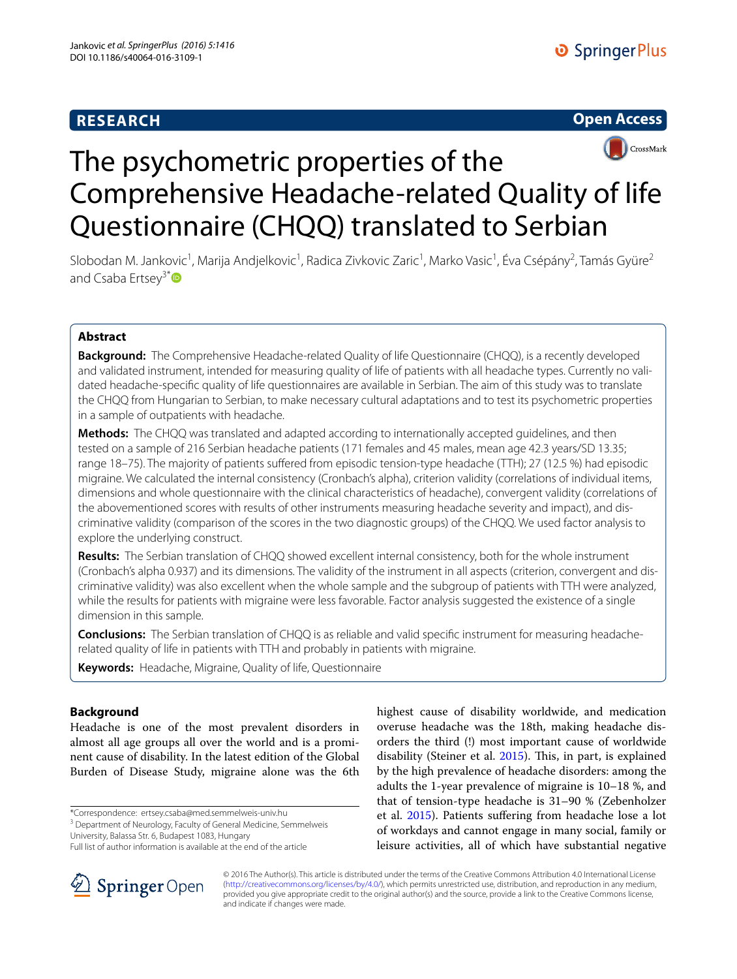# **RESEARCH**





# The psychometric properties of the Comprehensive Headache-related Quality of life Questionnaire (CHQQ) translated to Serbian

Slobodan M. Jankovic<sup>1</sup>, Marija Andjelkovic<sup>1</sup>, Radica Zivkovic Zaric<sup>1</sup>, Marko Vasic<sup>1</sup>, Éva Csépány<sup>2</sup>, Tamás Gyüre<sup>2</sup> and Csaba Ertsey<sup>3[\\*](http://orcid.org/0000-0003-3288-1941)</sup> $\bullet$ 

# **Abstract**

**Background:** The Comprehensive Headache-related Quality of life Questionnaire (CHQQ), is a recently developed and validated instrument, intended for measuring quality of life of patients with all headache types. Currently no validated headache-specific quality of life questionnaires are available in Serbian. The aim of this study was to translate the CHQQ from Hungarian to Serbian, to make necessary cultural adaptations and to test its psychometric properties in a sample of outpatients with headache.

**Methods:** The CHQQ was translated and adapted according to internationally accepted guidelines, and then tested on a sample of 216 Serbian headache patients (171 females and 45 males, mean age 42.3 years/SD 13.35; range 18–75). The majority of patients suffered from episodic tension-type headache (TTH); 27 (12.5 %) had episodic migraine. We calculated the internal consistency (Cronbach's alpha), criterion validity (correlations of individual items, dimensions and whole questionnaire with the clinical characteristics of headache), convergent validity (correlations of the abovementioned scores with results of other instruments measuring headache severity and impact), and discriminative validity (comparison of the scores in the two diagnostic groups) of the CHQQ. We used factor analysis to explore the underlying construct.

**Results:** The Serbian translation of CHQQ showed excellent internal consistency, both for the whole instrument (Cronbach's alpha 0.937) and its dimensions. The validity of the instrument in all aspects (criterion, convergent and discriminative validity) was also excellent when the whole sample and the subgroup of patients with TTH were analyzed, while the results for patients with migraine were less favorable. Factor analysis suggested the existence of a single dimension in this sample.

**Conclusions:** The Serbian translation of CHQQ is as reliable and valid specific instrument for measuring headacherelated quality of life in patients with TTH and probably in patients with migraine.

**Keywords:** Headache, Migraine, Quality of life, Questionnaire

# **Background**

Headache is one of the most prevalent disorders in almost all age groups all over the world and is a prominent cause of disability. In the latest edition of the Global Burden of Disease Study, migraine alone was the 6th

\*Correspondence: ertsey.csaba@med.semmelweis-univ.hu 3

<sup>3</sup> Department of Neurology, Faculty of General Medicine, Semmelweis University, Balassa Str. 6, Budapest 1083, Hungary





© 2016 The Author(s). This article is distributed under the terms of the Creative Commons Attribution 4.0 International License [\(http://creativecommons.org/licenses/by/4.0/\)](http://creativecommons.org/licenses/by/4.0/), which permits unrestricted use, distribution, and reproduction in any medium, provided you give appropriate credit to the original author(s) and the source, provide a link to the Creative Commons license, and indicate if changes were made.

Full list of author information is available at the end of the article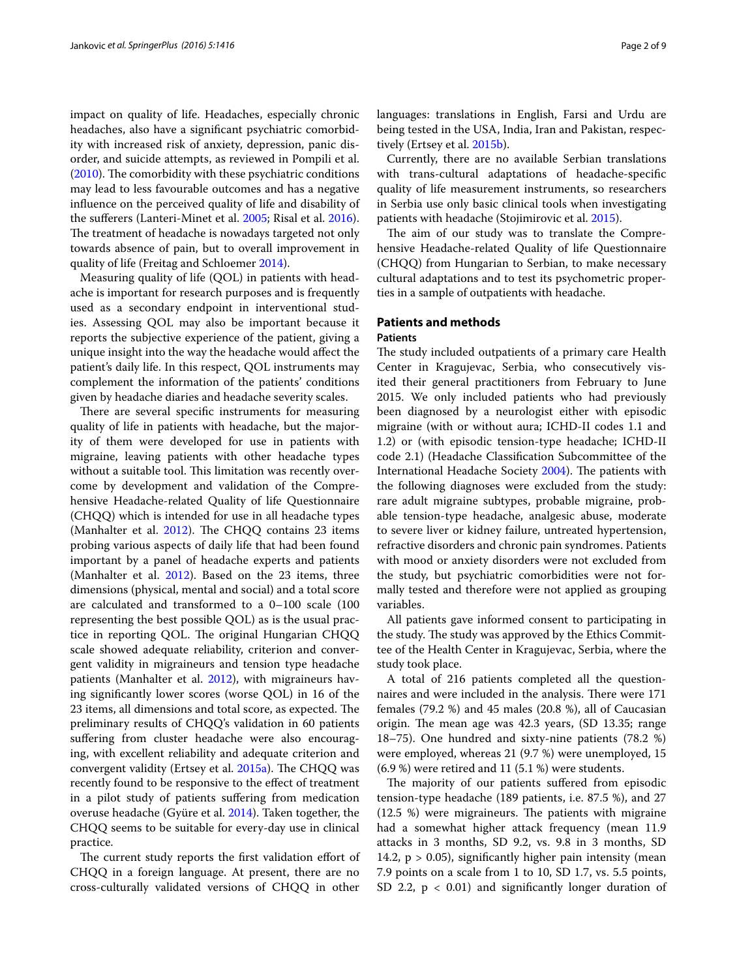impact on quality of life. Headaches, especially chronic headaches, also have a significant psychiatric comorbidity with increased risk of anxiety, depression, panic disorder, and suicide attempts, as reviewed in Pompili et al. ([2010\)](#page-8-2). The comorbidity with these psychiatric conditions may lead to less favourable outcomes and has a negative influence on the perceived quality of life and disability of the sufferers (Lanteri-Minet et al. [2005;](#page-8-3) Risal et al. [2016](#page-8-4)). The treatment of headache is nowadays targeted not only towards absence of pain, but to overall improvement in quality of life (Freitag and Schloemer [2014](#page-8-5)).

Measuring quality of life (QOL) in patients with headache is important for research purposes and is frequently used as a secondary endpoint in interventional studies. Assessing QOL may also be important because it reports the subjective experience of the patient, giving a unique insight into the way the headache would affect the patient's daily life. In this respect, QOL instruments may complement the information of the patients' conditions given by headache diaries and headache severity scales.

There are several specific instruments for measuring quality of life in patients with headache, but the majority of them were developed for use in patients with migraine, leaving patients with other headache types without a suitable tool. This limitation was recently overcome by development and validation of the Comprehensive Headache-related Quality of life Questionnaire (CHQQ) which is intended for use in all headache types (Manhalter et al. [2012\)](#page-8-6). The CHQQ contains 23 items probing various aspects of daily life that had been found important by a panel of headache experts and patients (Manhalter et al. [2012](#page-8-6)). Based on the 23 items, three dimensions (physical, mental and social) and a total score are calculated and transformed to a 0–100 scale (100 representing the best possible QOL) as is the usual practice in reporting QOL. The original Hungarian CHQQ scale showed adequate reliability, criterion and convergent validity in migraineurs and tension type headache patients (Manhalter et al. [2012\)](#page-8-6), with migraineurs having significantly lower scores (worse QOL) in 16 of the 23 items, all dimensions and total score, as expected. The preliminary results of CHQQ's validation in 60 patients suffering from cluster headache were also encouraging, with excellent reliability and adequate criterion and convergent validity (Ertsey et al. [2015a\)](#page-8-7). The CHQQ was recently found to be responsive to the effect of treatment in a pilot study of patients suffering from medication overuse headache (Gyüre et al. [2014](#page-8-8)). Taken together, the CHQQ seems to be suitable for every-day use in clinical practice.

The current study reports the first validation effort of CHQQ in a foreign language. At present, there are no cross-culturally validated versions of CHQQ in other languages: translations in English, Farsi and Urdu are being tested in the USA, India, Iran and Pakistan, respectively (Ertsey et al. [2015b\)](#page-8-9).

Currently, there are no available Serbian translations with trans-cultural adaptations of headache-specific quality of life measurement instruments, so researchers in Serbia use only basic clinical tools when investigating patients with headache (Stojimirovic et al. [2015\)](#page-8-10).

The aim of our study was to translate the Comprehensive Headache-related Quality of life Questionnaire (CHQQ) from Hungarian to Serbian, to make necessary cultural adaptations and to test its psychometric properties in a sample of outpatients with headache.

## **Patients and methods**

#### **Patients**

The study included outpatients of a primary care Health Center in Kragujevac, Serbia, who consecutively visited their general practitioners from February to June 2015. We only included patients who had previously been diagnosed by a neurologist either with episodic migraine (with or without aura; ICHD-II codes 1.1 and 1.2) or (with episodic tension-type headache; ICHD-II code 2.1) (Headache Classification Subcommittee of the International Headache Society [2004\)](#page-8-11). The patients with the following diagnoses were excluded from the study: rare adult migraine subtypes, probable migraine, probable tension-type headache, analgesic abuse, moderate to severe liver or kidney failure, untreated hypertension, refractive disorders and chronic pain syndromes. Patients with mood or anxiety disorders were not excluded from the study, but psychiatric comorbidities were not formally tested and therefore were not applied as grouping variables.

All patients gave informed consent to participating in the study. The study was approved by the Ethics Committee of the Health Center in Kragujevac, Serbia, where the study took place.

A total of 216 patients completed all the questionnaires and were included in the analysis. There were 171 females (79.2 %) and 45 males (20.8 %), all of Caucasian origin. The mean age was 42.3 years, (SD 13.35; range 18–75). One hundred and sixty-nine patients (78.2 %) were employed, whereas 21 (9.7 %) were unemployed, 15 (6.9 %) were retired and 11 (5.1 %) were students.

The majority of our patients suffered from episodic tension-type headache (189 patients, i.e. 87.5 %), and 27 (12.5 %) were migraineurs. The patients with migraine had a somewhat higher attack frequency (mean 11.9 attacks in 3 months, SD 9.2, vs. 9.8 in 3 months, SD 14.2,  $p > 0.05$ ), significantly higher pain intensity (mean 7.9 points on a scale from 1 to 10, SD 1.7, vs. 5.5 points, SD 2.2,  $p < 0.01$ ) and significantly longer duration of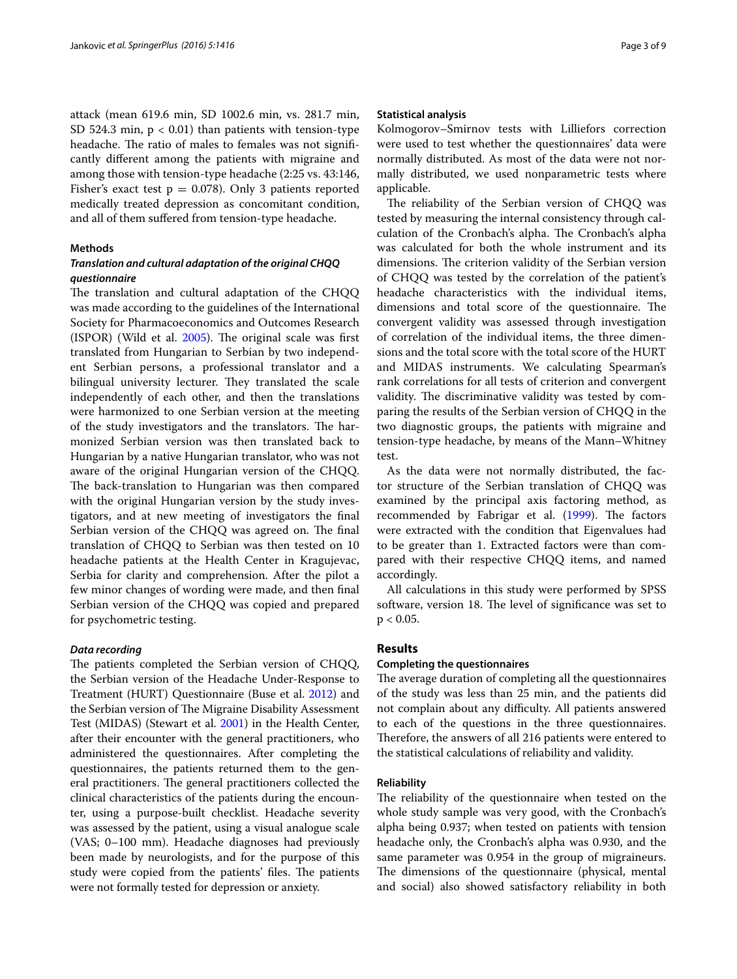attack (mean 619.6 min, SD 1002.6 min, vs. 281.7 min, SD 524.3 min,  $p < 0.01$ ) than patients with tension-type headache. The ratio of males to females was not significantly different among the patients with migraine and among those with tension-type headache (2:25 vs. 43:146, Fisher's exact test  $p = 0.078$ ). Only 3 patients reported medically treated depression as concomitant condition, and all of them suffered from tension-type headache.

## **Methods**

## *Translation and cultural adaptation of the original CHQQ questionnaire*

The translation and cultural adaptation of the CHQQ was made according to the guidelines of the International Society for Pharmacoeconomics and Outcomes Research (ISPOR) (Wild et al. [2005\)](#page-8-12). The original scale was first translated from Hungarian to Serbian by two independent Serbian persons, a professional translator and a bilingual university lecturer. They translated the scale independently of each other, and then the translations were harmonized to one Serbian version at the meeting of the study investigators and the translators. The harmonized Serbian version was then translated back to Hungarian by a native Hungarian translator, who was not aware of the original Hungarian version of the CHQQ. The back-translation to Hungarian was then compared with the original Hungarian version by the study investigators, and at new meeting of investigators the final Serbian version of the CHQQ was agreed on. The final translation of CHQQ to Serbian was then tested on 10 headache patients at the Health Center in Kragujevac, Serbia for clarity and comprehension. After the pilot a few minor changes of wording were made, and then final Serbian version of the CHQQ was copied and prepared for psychometric testing.

#### *Data recording*

The patients completed the Serbian version of CHQQ, the Serbian version of the Headache Under-Response to Treatment (HURT) Questionnaire (Buse et al. [2012](#page-7-0)) and the Serbian version of The Migraine Disability Assessment Test (MIDAS) (Stewart et al. [2001](#page-8-13)) in the Health Center, after their encounter with the general practitioners, who administered the questionnaires. After completing the questionnaires, the patients returned them to the general practitioners. The general practitioners collected the clinical characteristics of the patients during the encounter, using a purpose-built checklist. Headache severity was assessed by the patient, using a visual analogue scale (VAS; 0–100 mm). Headache diagnoses had previously been made by neurologists, and for the purpose of this study were copied from the patients' files. The patients were not formally tested for depression or anxiety.

#### **Statistical analysis**

Kolmogorov–Smirnov tests with Lilliefors correction were used to test whether the questionnaires' data were normally distributed. As most of the data were not normally distributed, we used nonparametric tests where applicable.

The reliability of the Serbian version of CHQQ was tested by measuring the internal consistency through calculation of the Cronbach's alpha. The Cronbach's alpha was calculated for both the whole instrument and its dimensions. The criterion validity of the Serbian version of CHQQ was tested by the correlation of the patient's headache characteristics with the individual items, dimensions and total score of the questionnaire. The convergent validity was assessed through investigation of correlation of the individual items, the three dimensions and the total score with the total score of the HURT and MIDAS instruments. We calculating Spearman's rank correlations for all tests of criterion and convergent validity. The discriminative validity was tested by comparing the results of the Serbian version of CHQQ in the two diagnostic groups, the patients with migraine and tension-type headache, by means of the Mann–Whitney test.

As the data were not normally distributed, the factor structure of the Serbian translation of CHQQ was examined by the principal axis factoring method, as recommended by Fabrigar et al. [\(1999\)](#page-8-14). The factors were extracted with the condition that Eigenvalues had to be greater than 1. Extracted factors were than compared with their respective CHQQ items, and named accordingly.

All calculations in this study were performed by SPSS software, version 18. The level of significance was set to  $p < 0.05$ .

#### **Results**

#### **Completing the questionnaires**

The average duration of completing all the questionnaires of the study was less than 25 min, and the patients did not complain about any difficulty. All patients answered to each of the questions in the three questionnaires. Therefore, the answers of all 216 patients were entered to the statistical calculations of reliability and validity.

#### **Reliability**

The reliability of the questionnaire when tested on the whole study sample was very good, with the Cronbach's alpha being 0.937; when tested on patients with tension headache only, the Cronbach's alpha was 0.930, and the same parameter was 0.954 in the group of migraineurs. The dimensions of the questionnaire (physical, mental and social) also showed satisfactory reliability in both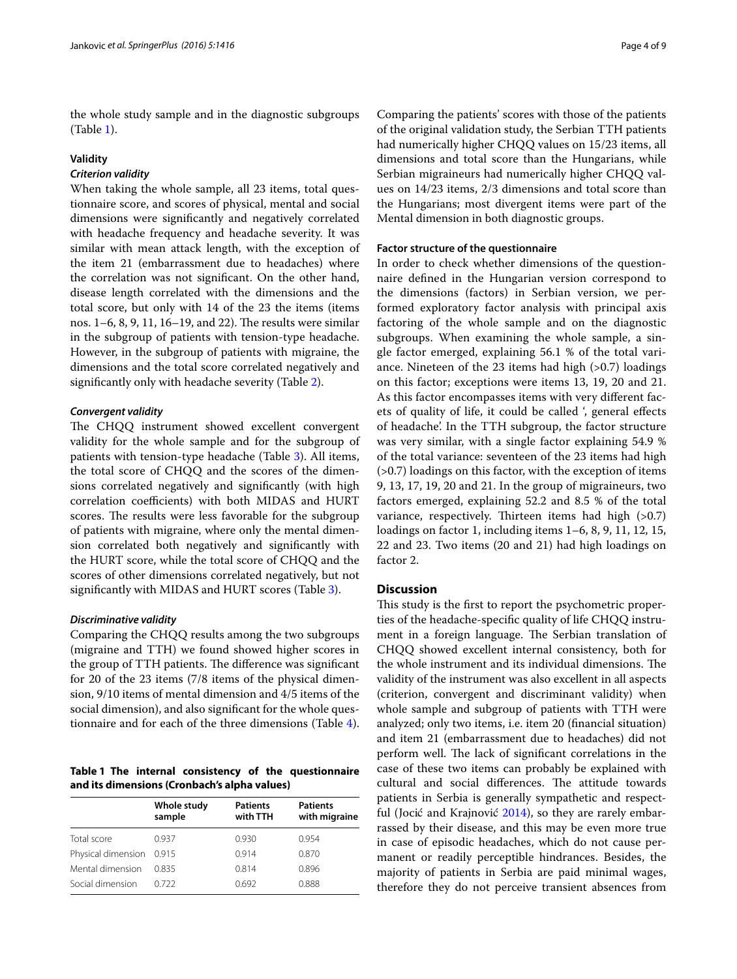the whole study sample and in the diagnostic subgroups (Table [1](#page-3-0)).

#### **Validity**

## *Criterion validity*

When taking the whole sample, all 23 items, total questionnaire score, and scores of physical, mental and social dimensions were significantly and negatively correlated with headache frequency and headache severity. It was similar with mean attack length, with the exception of the item 21 (embarrassment due to headaches) where the correlation was not significant. On the other hand, disease length correlated with the dimensions and the total score, but only with 14 of the 23 the items (items nos. 1–6, 8, 9, 11, 16–19, and 22). The results were similar in the subgroup of patients with tension-type headache. However, in the subgroup of patients with migraine, the dimensions and the total score correlated negatively and significantly only with headache severity (Table [2](#page-4-0)).

#### *Convergent validity*

The CHQQ instrument showed excellent convergent validity for the whole sample and for the subgroup of patients with tension-type headache (Table [3\)](#page-5-0). All items, the total score of CHQQ and the scores of the dimensions correlated negatively and significantly (with high correlation coefficients) with both MIDAS and HURT scores. The results were less favorable for the subgroup of patients with migraine, where only the mental dimension correlated both negatively and significantly with the HURT score, while the total score of CHQQ and the scores of other dimensions correlated negatively, but not significantly with MIDAS and HURT scores (Table [3](#page-5-0)).

#### *Discriminative validity*

Comparing the CHQQ results among the two subgroups (migraine and TTH) we found showed higher scores in the group of TTH patients. The difference was significant for 20 of the 23 items (7/8 items of the physical dimension, 9/10 items of mental dimension and 4/5 items of the social dimension), and also significant for the whole questionnaire and for each of the three dimensions (Table [4](#page-6-0)).

<span id="page-3-0"></span>**Table 1 The internal consistency of the questionnaire and its dimensions (Cronbach's alpha values)**

|                          | Whole study<br>sample | <b>Patients</b><br>with TTH | <b>Patients</b><br>with migraine |
|--------------------------|-----------------------|-----------------------------|----------------------------------|
| Total score              | 0.937                 | 0.930                       | 0.954                            |
| Physical dimension 0.915 |                       | 0.914                       | 0.870                            |
| Mental dimension         | 0835                  | 0.814                       | 0.896                            |
| Social dimension         | 0.722                 | 0.692                       | 0.888                            |

Comparing the patients' scores with those of the patients of the original validation study, the Serbian TTH patients had numerically higher CHQQ values on 15/23 items, all dimensions and total score than the Hungarians, while Serbian migraineurs had numerically higher CHQQ values on 14/23 items, 2/3 dimensions and total score than the Hungarians; most divergent items were part of the Mental dimension in both diagnostic groups.

#### **Factor structure of the questionnaire**

In order to check whether dimensions of the questionnaire defined in the Hungarian version correspond to the dimensions (factors) in Serbian version, we performed exploratory factor analysis with principal axis factoring of the whole sample and on the diagnostic subgroups. When examining the whole sample, a single factor emerged, explaining 56.1 % of the total variance. Nineteen of the 23 items had high (>0.7) loadings on this factor; exceptions were items 13, 19, 20 and 21. As this factor encompasses items with very different facets of quality of life, it could be called ', general effects of headache'. In the TTH subgroup, the factor structure was very similar, with a single factor explaining 54.9 % of the total variance: seventeen of the 23 items had high (>0.7) loadings on this factor, with the exception of items 9, 13, 17, 19, 20 and 21. In the group of migraineurs, two factors emerged, explaining 52.2 and 8.5 % of the total variance, respectively. Thirteen items had high (>0.7) loadings on factor 1, including items 1–6, 8, 9, 11, 12, 15, 22 and 23. Two items (20 and 21) had high loadings on factor 2.

#### **Discussion**

This study is the first to report the psychometric properties of the headache-specific quality of life CHQQ instrument in a foreign language. The Serbian translation of CHQQ showed excellent internal consistency, both for the whole instrument and its individual dimensions. The validity of the instrument was also excellent in all aspects (criterion, convergent and discriminant validity) when whole sample and subgroup of patients with TTH were analyzed; only two items, i.e. item 20 (financial situation) and item 21 (embarrassment due to headaches) did not perform well. The lack of significant correlations in the case of these two items can probably be explained with cultural and social differences. The attitude towards patients in Serbia is generally sympathetic and respectful (Jocić and Krajnović [2014\)](#page-8-15), so they are rarely embarrassed by their disease, and this may be even more true in case of episodic headaches, which do not cause permanent or readily perceptible hindrances. Besides, the majority of patients in Serbia are paid minimal wages, therefore they do not perceive transient absences from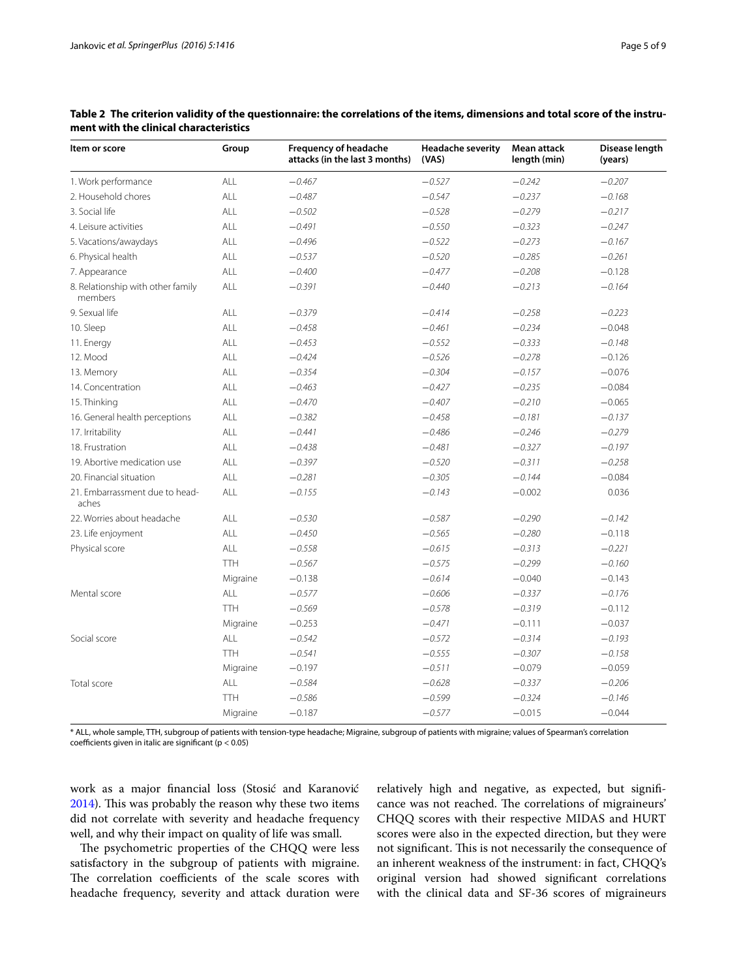| Page 5 of 9 |  |  |  |
|-------------|--|--|--|
|-------------|--|--|--|

| Item or score                                | Group      | Frequency of headache<br>attacks (in the last 3 months) | <b>Headache severity</b><br>(VAS) | Mean attack<br>length (min) | Disease length<br>(years) |
|----------------------------------------------|------------|---------------------------------------------------------|-----------------------------------|-----------------------------|---------------------------|
| 1. Work performance                          | ALL        | $-0.467$                                                | $-0.527$                          | $-0.242$                    | $-0.207$                  |
| 2. Household chores                          | ALL        | $-0.487$                                                | $-0.547$                          | $-0.237$                    | $-0.168$                  |
| 3. Social life                               | ALL        | $-0.502$                                                | $-0.528$                          | $-0.279$                    | $-0.217$                  |
| 4. Leisure activities                        | ALL        | $-0.491$                                                | $-0.550$                          | $-0.323$                    | $-0.247$                  |
| 5. Vacations/awaydays                        | ALL        | $-0.496$                                                | $-0.522$                          | $-0.273$                    | $-0.167$                  |
| 6. Physical health                           | ALL        | $-0.537$                                                | $-0.520$                          | $-0.285$                    | $-0.261$                  |
| 7. Appearance                                | ALL        | $-0.400$                                                | $-0.477$                          | $-0.208$                    | $-0.128$                  |
| 8. Relationship with other family<br>members | ALL        | $-0.391$                                                | $-0.440$                          | $-0.213$                    | $-0.164$                  |
| 9. Sexual life                               | ALL        | $-0.379$                                                | $-0.414$                          | $-0.258$                    | $-0.223$                  |
| 10. Sleep                                    | <b>ALL</b> | $-0.458$                                                | $-0.461$                          | $-0.234$                    | $-0.048$                  |
| 11. Energy                                   | ALL        | $-0.453$                                                | $-0.552$                          | $-0.333$                    | $-0.148$                  |
| 12. Mood                                     | ALL        | $-0.424$                                                | $-0.526$                          | $-0.278$                    | $-0.126$                  |
| 13. Memory                                   | ALL        | $-0.354$                                                | $-0.304$                          | $-0.157$                    | $-0.076$                  |
| 14. Concentration                            | ALL        | $-0.463$                                                | $-0.427$                          | $-0.235$                    | $-0.084$                  |
| 15. Thinking                                 | <b>ALL</b> | $-0.470$                                                | $-0.407$                          | $-0.210$                    | $-0.065$                  |
| 16. General health perceptions               | ALL        | $-0.382$                                                | $-0.458$                          | $-0.181$                    | $-0.137$                  |
| 17. Irritability                             | ALL        | $-0.441$                                                | $-0.486$                          | $-0.246$                    | $-0.279$                  |
| 18. Frustration                              | ALL        | $-0.438$                                                | $-0.481$                          | $-0.327$                    | $-0.197$                  |
| 19. Abortive medication use                  | ALL        | $-0.397$                                                | $-0.520$                          | $-0.311$                    | $-0.258$                  |
| 20. Financial situation                      | ALL        | $-0.281$                                                | $-0.305$                          | $-0.144$                    | $-0.084$                  |
| 21. Embarrassment due to head-<br>aches      | ALL        | $-0.155$                                                | $-0.143$                          | $-0.002$                    | 0.036                     |
| 22. Worries about headache                   | ALL        | $-0.530$                                                | $-0.587$                          | $-0.290$                    | $-0.142$                  |
| 23. Life enjoyment                           | ALL        | $-0.450$                                                | $-0.565$                          | $-0.280$                    | $-0.118$                  |
| Physical score                               | ALL        | $-0.558$                                                | $-0.615$                          | $-0.313$                    | $-0.221$                  |
|                                              | <b>TTH</b> | $-0.567$                                                | $-0.575$                          | $-0.299$                    | $-0.160$                  |
|                                              | Migraine   | $-0.138$                                                | $-0.614$                          | $-0.040$                    | $-0.143$                  |
| Mental score                                 | ALL        | $-0.577$                                                | $-0.606$                          | $-0.337$                    | $-0.176$                  |
|                                              | TTH        | $-0.569$                                                | $-0.578$                          | $-0.319$                    | $-0.112$                  |
|                                              | Migraine   | $-0.253$                                                | $-0.471$                          | $-0.111$                    | $-0.037$                  |
| Social score                                 | ALL        | $-0.542$                                                | $-0.572$                          | $-0.314$                    | $-0.193$                  |
|                                              | <b>TTH</b> | $-0.541$                                                | $-0.555$                          | $-0.307$                    | $-0.158$                  |
|                                              | Migraine   | $-0.197$                                                | $-0.511$                          | $-0.079$                    | $-0.059$                  |
| Total score                                  | ALL        | $-0.584$                                                | $-0.628$                          | $-0.337$                    | $-0.206$                  |
|                                              | <b>TTH</b> | $-0.586$                                                | $-0.599$                          | $-0.324$                    | $-0.146$                  |
|                                              | Migraine   | $-0.187$                                                | $-0.577$                          | $-0.015$                    | $-0.044$                  |

<span id="page-4-0"></span>**Table 2 The criterion validity of the questionnaire: the correlations of the items, dimensions and total score of the instrument with the clinical characteristics**

\* ALL, whole sample, TTH, subgroup of patients with tension-type headache; Migraine, subgroup of patients with migraine; values of Spearman's correlation coefficients given in italic are significant (p < 0.05)

work as a major financial loss (Stosić and Karanović [2014](#page-8-16)). This was probably the reason why these two items did not correlate with severity and headache frequency well, and why their impact on quality of life was small.

The psychometric properties of the CHQQ were less satisfactory in the subgroup of patients with migraine. The correlation coefficients of the scale scores with headache frequency, severity and attack duration were relatively high and negative, as expected, but significance was not reached. The correlations of migraineurs' CHQQ scores with their respective MIDAS and HURT scores were also in the expected direction, but they were not significant. This is not necessarily the consequence of an inherent weakness of the instrument: in fact, CHQQ's original version had showed significant correlations with the clinical data and SF-36 scores of migraineurs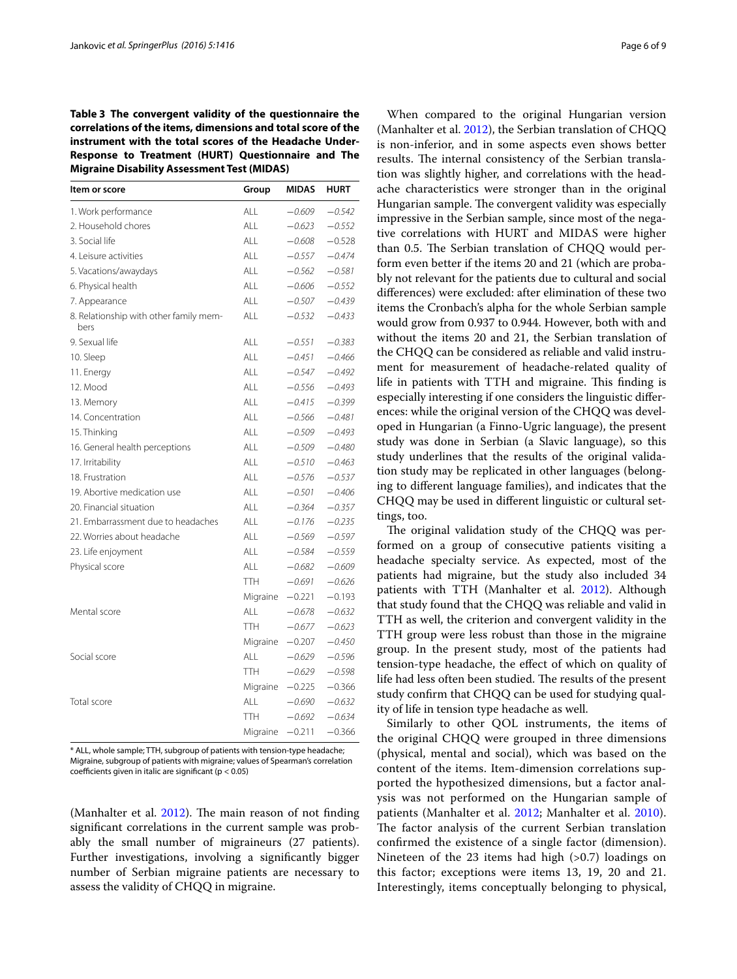<span id="page-5-0"></span>**Table 3 The convergent validity of the questionnaire the correlations of the items, dimensions and total score of the instrument with the total scores of the Headache Under-Response to Treatment (HURT) Questionnaire and The Migraine Disability Assessment Test (MIDAS)**

| Item or score                                  | Group      | <b>MIDAS</b> | HURT     |
|------------------------------------------------|------------|--------------|----------|
| 1. Work performance                            | AI I       | $-0.609$     | $-0.542$ |
| 2. Household chores                            | ALL        | $-0.623$     | $-0.552$ |
| 3. Social life                                 | ALL        | $-0.608$     | $-0.528$ |
| 4. Leisure activities                          | AI         | $-0.557$     | $-0.474$ |
| 5. Vacations/awaydays                          | ALL        | $-0.562$     | $-0.581$ |
| 6. Physical health                             | ALL        | $-0.606$     | $-0.552$ |
| 7. Appearance                                  | ALL        | $-0.507$     | $-0.439$ |
| 8. Relationship with other family mem-<br>bers | ALL        | $-0.532$     | $-0.433$ |
| 9. Sexual life                                 | ALL        | $-0.551$     | $-0.383$ |
| 10. Sleep                                      | ALL        | $-0.451$     | $-0.466$ |
| 11. Energy                                     | Al I       | $-0.547$     | $-0.492$ |
| 12. Mood                                       | ALL        | $-0.556$     | $-0.493$ |
| 13. Memory                                     | ALL        | $-0.415$     | $-0.399$ |
| 14. Concentration                              | Al I       | $-0.566$     | $-0.481$ |
| 15. Thinking                                   | ALL        | $-0.509$     | $-0.493$ |
| 16. General health perceptions                 | ALL        | $-0.509$     | $-0.480$ |
| 17. Irritability                               | ALL        | $-0.510$     | $-0.463$ |
| 18. Frustration                                | ALL        | $-0.576$     | $-0.537$ |
| 19. Abortive medication use                    | ALL        | $-0.501$     | $-0.406$ |
| 20. Financial situation                        | ALL        | $-0.364$     | $-0.357$ |
| 21. Embarrassment due to headaches             | ALL        | $-0.176$     | $-0.235$ |
| 22. Worries about headache                     | Al I       | $-0.569$     | $-0.597$ |
| 23. Life enjoyment                             | ALL        | $-0.584$     | $-0.559$ |
| Physical score                                 | ALL        | $-0.682$     | $-0.609$ |
|                                                | <b>TTH</b> | $-0.691$     | $-0.626$ |
|                                                | Migraine   | $-0.221$     | $-0.193$ |
| Mental score                                   | ALL        | $-0.678$     | $-0.632$ |
|                                                | <b>TTH</b> | $-0.677$     | $-0.623$ |
|                                                | Migraine   | $-0.207$     | $-0.450$ |
| Social score                                   | ALL        | $-0.629$     | $-0.596$ |
|                                                | <b>TTH</b> | $-0.629$     | $-0.598$ |
|                                                | Migraine   | $-0.225$     | $-0.366$ |
| Total score                                    | ALL        | $-0.690$     | $-0.632$ |
|                                                | <b>TTH</b> | $-0.692$     | $-0.634$ |
|                                                | Migraine   | $-0.211$     | $-0.366$ |

\* ALL, whole sample; TTH, subgroup of patients with tension-type headache; Migraine, subgroup of patients with migraine; values of Spearman's correlation coefficients given in italic are significant (p < 0.05)

(Manhalter et al. [2012\)](#page-8-6). The main reason of not finding significant correlations in the current sample was probably the small number of migraineurs (27 patients). Further investigations, involving a significantly bigger number of Serbian migraine patients are necessary to assess the validity of CHQQ in migraine.

When compared to the original Hungarian version (Manhalter et al.  $2012$ ), the Serbian translation of CHQQ is non-inferior, and in some aspects even shows better results. The internal consistency of the Serbian translation was slightly higher, and correlations with the headache characteristics were stronger than in the original Hungarian sample. The convergent validity was especially impressive in the Serbian sample, since most of the negative correlations with HURT and MIDAS were higher than 0.5. The Serbian translation of CHQQ would perform even better if the items 20 and 21 (which are probably not relevant for the patients due to cultural and social differences) were excluded: after elimination of these two items the Cronbach's alpha for the whole Serbian sample would grow from 0.937 to 0.944. However, both with and without the items 20 and 21, the Serbian translation of the CHQQ can be considered as reliable and valid instrument for measurement of headache-related quality of life in patients with TTH and migraine. This finding is especially interesting if one considers the linguistic differences: while the original version of the CHQQ was developed in Hungarian (a Finno-Ugric language), the present study was done in Serbian (a Slavic language), so this study underlines that the results of the original validation study may be replicated in other languages (belonging to different language families), and indicates that the CHQQ may be used in different linguistic or cultural settings, too.

The original validation study of the CHQQ was performed on a group of consecutive patients visiting a headache specialty service. As expected, most of the patients had migraine, but the study also included 34 patients with TTH (Manhalter et al. [2012](#page-8-6)). Although that study found that the CHQQ was reliable and valid in TTH as well, the criterion and convergent validity in the TTH group were less robust than those in the migraine group. In the present study, most of the patients had tension-type headache, the effect of which on quality of life had less often been studied. The results of the present study confirm that CHQQ can be used for studying quality of life in tension type headache as well.

Similarly to other QOL instruments, the items of the original CHQQ were grouped in three dimensions (physical, mental and social), which was based on the content of the items. Item-dimension correlations supported the hypothesized dimensions, but a factor analysis was not performed on the Hungarian sample of patients (Manhalter et al. [2012](#page-8-6); Manhalter et al. [2010](#page-8-17)). The factor analysis of the current Serbian translation confirmed the existence of a single factor (dimension). Nineteen of the 23 items had high (>0.7) loadings on this factor; exceptions were items 13, 19, 20 and 21. Interestingly, items conceptually belonging to physical,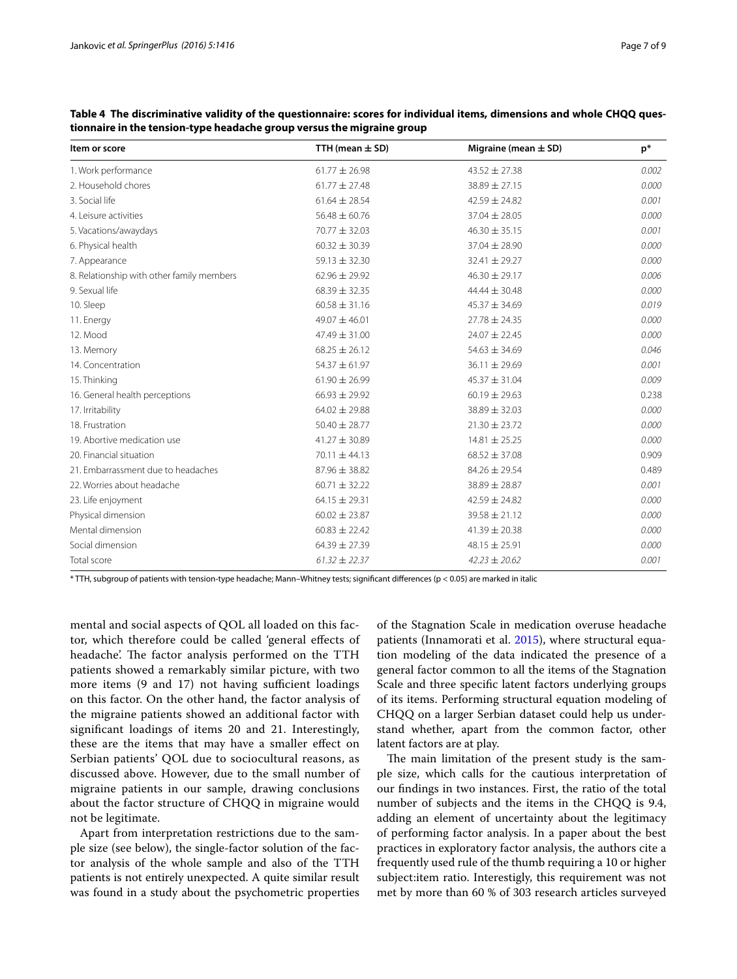| Item or score                             | TTH (mean $\pm$ SD) | Migraine (mean $\pm$ SD) | $p*$  |
|-------------------------------------------|---------------------|--------------------------|-------|
| 1. Work performance                       | $61.77 \pm 26.98$   | $43.52 \pm 27.38$        | 0.002 |
| 2. Household chores                       | $61.77 \pm 27.48$   | $38.89 \pm 27.15$        | 0.000 |
| 3. Social life                            | $61.64 \pm 28.54$   | $42.59 \pm 24.82$        | 0.001 |
| 4. Leisure activities                     | $56.48 \pm 60.76$   | 37.04 ± 28.05            | 0.000 |
| 5. Vacations/awaydays                     | 70.77 ± 32.03       | $46.30 \pm 35.15$        | 0.001 |
| 6. Physical health                        | $60.32 \pm 30.39$   | 37.04 ± 28.90            | 0.000 |
| 7. Appearance                             | $59.13 \pm 32.30$   | 32.41 ± 29.27            | 0.000 |
| 8. Relationship with other family members | $62.96 \pm 29.92$   | $46.30 \pm 29.17$        | 0.006 |
| 9. Sexual life                            | $68.39 \pm 32.35$   | 44.44 ± 30.48            | 0.000 |
| 10. Sleep                                 | $60.58 \pm 31.16$   | $45.37 \pm 34.69$        | 0.019 |
| 11. Energy                                | $49.07 \pm 46.01$   | $27.78 \pm 24.35$        | 0.000 |
| 12. Mood                                  | 47.49 ± 31.00       | $24.07 \pm 22.45$        | 0.000 |
| 13. Memory                                | $68.25 \pm 26.12$   | $54.63 \pm 34.69$        | 0.046 |
| 14. Concentration                         | 54.37 ± 61.97       | $36.11 \pm 29.69$        | 0.001 |
| 15. Thinking                              | $61.90 \pm 26.99$   | $45.37 \pm 31.04$        | 0.009 |
| 16. General health perceptions            | $66.93 \pm 29.92$   | $60.19 \pm 29.63$        | 0.238 |
| 17. Irritability                          | $64.02 \pm 29.88$   | $38.89 \pm 32.03$        | 0.000 |
| 18. Frustration                           | 50.40 ± 28.77       | $21.30 \pm 23.72$        | 0.000 |
| 19. Abortive medication use               | $41.27 \pm 30.89$   | $14.81 \pm 25.25$        | 0.000 |
| 20. Financial situation                   | 70.11 ± 44.13       | $68.52 \pm 37.08$        | 0.909 |
| 21. Embarrassment due to headaches        | 87.96 ± 38.82       | $84.26 \pm 29.54$        | 0.489 |
| 22. Worries about headache                | $60.71 \pm 32.22$   | 38.89 ± 28.87            | 0.001 |
| 23. Life enjoyment                        | $64.15 \pm 29.31$   | $42.59 \pm 24.82$        | 0.000 |
| Physical dimension                        | $60.02 \pm 23.87$   | $39.58 \pm 21.12$        | 0.000 |
| Mental dimension                          | $60.83 \pm 22.42$   | $41.39 \pm 20.38$        | 0.000 |
| Social dimension                          | $64.39 \pm 27.39$   | 48.15 $\pm$ 25.91        | 0.000 |
| Total score                               | $61.32 \pm 22.37$   | $42.23 \pm 20.62$        | 0.001 |

<span id="page-6-0"></span>**Table 4 The discriminative validity of the questionnaire: scores for individual items, dimensions and whole CHQQ questionnaire in the tension-type headache group versus the migraine group**

\* TTH, subgroup of patients with tension-type headache; Mann–Whitney tests; significant differences (p < 0.05) are marked in italic

mental and social aspects of QOL all loaded on this factor, which therefore could be called 'general effects of headache'. The factor analysis performed on the TTH patients showed a remarkably similar picture, with two more items (9 and 17) not having sufficient loadings on this factor. On the other hand, the factor analysis of the migraine patients showed an additional factor with significant loadings of items 20 and 21. Interestingly, these are the items that may have a smaller effect on Serbian patients' QOL due to sociocultural reasons, as discussed above. However, due to the small number of migraine patients in our sample, drawing conclusions about the factor structure of CHQQ in migraine would not be legitimate.

Apart from interpretation restrictions due to the sample size (see below), the single-factor solution of the factor analysis of the whole sample and also of the TTH patients is not entirely unexpected. A quite similar result was found in a study about the psychometric properties

of the Stagnation Scale in medication overuse headache patients (Innamorati et al. [2015\)](#page-8-18), where structural equation modeling of the data indicated the presence of a general factor common to all the items of the Stagnation Scale and three specific latent factors underlying groups of its items. Performing structural equation modeling of CHQQ on a larger Serbian dataset could help us understand whether, apart from the common factor, other latent factors are at play.

The main limitation of the present study is the sample size, which calls for the cautious interpretation of our findings in two instances. First, the ratio of the total number of subjects and the items in the CHQQ is 9.4, adding an element of uncertainty about the legitimacy of performing factor analysis. In a paper about the best practices in exploratory factor analysis, the authors cite a frequently used rule of the thumb requiring a 10 or higher subject:item ratio. Interestigly, this requirement was not met by more than 60 % of 303 research articles surveyed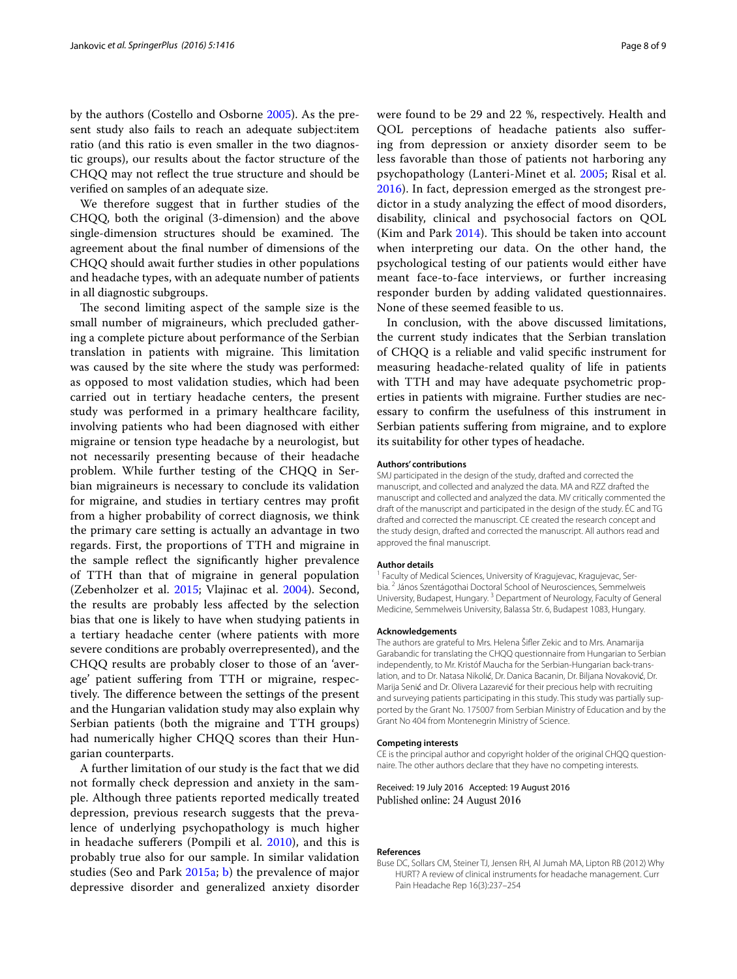by the authors (Costello and Osborne [2005](#page-8-19)). As the present study also fails to reach an adequate subject:item ratio (and this ratio is even smaller in the two diagnostic groups), our results about the factor structure of the CHQQ may not reflect the true structure and should be verified on samples of an adequate size.

We therefore suggest that in further studies of the CHQQ, both the original (3-dimension) and the above single-dimension structures should be examined. The agreement about the final number of dimensions of the CHQQ should await further studies in other populations and headache types, with an adequate number of patients in all diagnostic subgroups.

The second limiting aspect of the sample size is the small number of migraineurs, which precluded gathering a complete picture about performance of the Serbian translation in patients with migraine. This limitation was caused by the site where the study was performed: as opposed to most validation studies, which had been carried out in tertiary headache centers, the present study was performed in a primary healthcare facility, involving patients who had been diagnosed with either migraine or tension type headache by a neurologist, but not necessarily presenting because of their headache problem. While further testing of the CHQQ in Serbian migraineurs is necessary to conclude its validation for migraine, and studies in tertiary centres may profit from a higher probability of correct diagnosis, we think the primary care setting is actually an advantage in two regards. First, the proportions of TTH and migraine in the sample reflect the significantly higher prevalence of TTH than that of migraine in general population (Zebenholzer et al. [2015;](#page-8-1) Vlajinac et al. [2004\)](#page-8-20). Second, the results are probably less affected by the selection bias that one is likely to have when studying patients in a tertiary headache center (where patients with more severe conditions are probably overrepresented), and the CHQQ results are probably closer to those of an 'average' patient suffering from TTH or migraine, respectively. The difference between the settings of the present and the Hungarian validation study may also explain why Serbian patients (both the migraine and TTH groups) had numerically higher CHQQ scores than their Hungarian counterparts.

A further limitation of our study is the fact that we did not formally check depression and anxiety in the sample. Although three patients reported medically treated depression, previous research suggests that the prevalence of underlying psychopathology is much higher in headache sufferers (Pompili et al. [2010\)](#page-8-2), and this is probably true also for our sample. In similar validation studies (Seo and Park [2015a;](#page-8-21) [b](#page-8-22)) the prevalence of major depressive disorder and generalized anxiety disorder were found to be 29 and 22 %, respectively. Health and QOL perceptions of headache patients also suffering from depression or anxiety disorder seem to be less favorable than those of patients not harboring any psychopathology (Lanteri-Minet et al. [2005;](#page-8-3) Risal et al. [2016\)](#page-8-4). In fact, depression emerged as the strongest predictor in a study analyzing the effect of mood disorders, disability, clinical and psychosocial factors on QOL (Kim and Park [2014](#page-8-23)). This should be taken into account when interpreting our data. On the other hand, the psychological testing of our patients would either have meant face-to-face interviews, or further increasing responder burden by adding validated questionnaires. None of these seemed feasible to us.

In conclusion, with the above discussed limitations, the current study indicates that the Serbian translation of CHQQ is a reliable and valid specific instrument for measuring headache-related quality of life in patients with TTH and may have adequate psychometric properties in patients with migraine. Further studies are necessary to confirm the usefulness of this instrument in Serbian patients suffering from migraine, and to explore its suitability for other types of headache.

#### **Authors' contributions**

SMJ participated in the design of the study, drafted and corrected the manuscript, and collected and analyzed the data. MA and RZZ drafted the manuscript and collected and analyzed the data. MV critically commented the draft of the manuscript and participated in the design of the study. ÉC and TG drafted and corrected the manuscript. CE created the research concept and the study design, drafted and corrected the manuscript. All authors read and approved the final manuscript.

#### **Author details**

<sup>1</sup> Faculty of Medical Sciences, University of Kragujevac, Kragujevac, Serbia. <sup>2</sup> János Szentágothai Doctoral School of Neurosciences, Semmelweis University, Budapest, Hungary. <sup>3</sup> Department of Neurology, Faculty of General Medicine, Semmelweis University, Balassa Str. 6, Budapest 1083, Hungary.

#### **Acknowledgements**

The authors are grateful to Mrs. Helena Šifler Zekic and to Mrs. Anamarija Garabandic for translating the CHQQ questionnaire from Hungarian to Serbian independently, to Mr. Kristóf Maucha for the Serbian-Hungarian back-translation, and to Dr. Natasa Nikolić, Dr. Danica Bacanin, Dr. Biljana Novaković, Dr. Marija Senić and Dr. Olivera Lazarević for their precious help with recruiting and surveying patients participating in this study. This study was partially supported by the Grant No. 175007 from Serbian Ministry of Education and by the Grant No 404 from Montenegrin Ministry of Science.

#### **Competing interests**

CE is the principal author and copyright holder of the original CHQQ questionnaire. The other authors declare that they have no competing interests.

Received: 19 July 2016 Accepted: 19 August 2016 Published online: 24 August 2016

#### **References**

<span id="page-7-0"></span>Buse DC, Sollars CM, Steiner TJ, Jensen RH, Al Jumah MA, Lipton RB (2012) Why HURT? A review of clinical instruments for headache management. Curr Pain Headache Rep 16(3):237–254